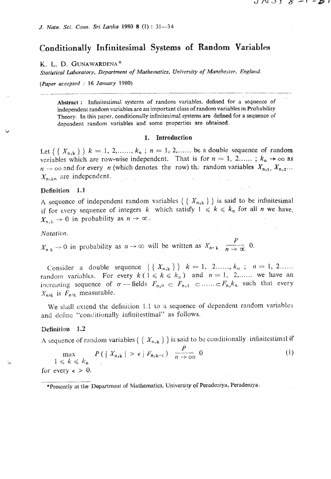# Conditionally Infinitesimal Systems of Random Variables

#### K. L. D. GUNAWARDENA\*

Statistical Laboratory, Department of Mathematics, University of Manchester, England.

(Paper accepted : 16 January 1980)

Abstract: Infinitestimal systems of random variables, defined for a sequence of independent random variables are an important class of random variables in Probability Theory. In this paper, conditionally infinitesimal systems are defined for a sequence of dependent random variables and some properties are obtained.

#### 1. Introduction

Let  $\{ \{ X_{n,k} \} \}$   $k = 1, 2, \ldots, k_n$ ;  $n = 1, 2, \ldots$  be a double sequence of random variables which are row-wise independent. That is for  $n = 1, 2,...$ ;  $k_n \rightarrow \infty$  as  $n \to \infty$  and for every *n* (which denotes the row) the random variables  $X_{n,1}$ ,  $X_{n,2}$ ...  $X_{\text{n,kn}}$  are independent.

#### Definition 1.1

A sequence of independent random variables  $\{ \{ X_{n,k} \} \}$  is said to be infinitesimal if for every sequence of integers k which satisfy  $1 \le k \le k_n$  for all n we have,  $X_{n,k} \rightarrow 0$  in probability as  $n \rightarrow \infty$ .

#### Notation.

 $X_{n,k} \to 0$  in probability as  $n \to \infty$  will be written as  $X_{n,k}$   $\frac{P}{n \to \infty}$  0.

Consider a double sequence  $\{\{X_{n,k}\}\}\$   $k = 1, 2, ..., k_n$ ;  $n = 1, 2, ...$ random variables. For every  $k(1 \le k \le k_n)$  and  $n = 1, 2, \dots$  we have an increasing sequence of  $\sigma$  -fields  $F_{n,0} \subset F_{n,1} \subset \dots \subset F_n, k_n$  such that every  $X_{n,k}$  is  $F_{n,k}$  measurable.

We shall extend the definition 1.1 to a sequence of dependent random variables and define "conditionally infinitestimal" as follows.

#### Definition 1.2

A sequence of random variables {  $\{X_{n,k}\}\}$  is said to be conditionally infinitestimal if

 $\max_{1 \leq k \leq k_n} P(|X_{n,k}| > \epsilon | F_{n,k-1}) \frac{P}{n \to \infty} 0$  $(1)$ 

for every  $\epsilon > 0$ .

<sup>\*</sup>Prosently at the Department of Mathematics, University of Peradeniya, Peradeniya.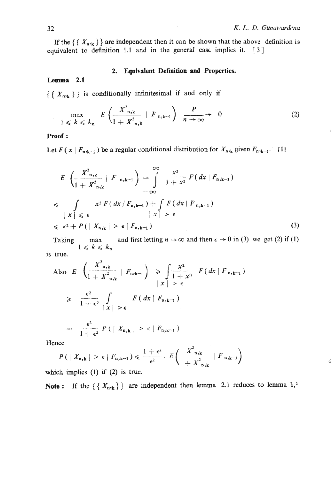Ç

If the  $\{X_{n,k}\}\$  are independent then it can be shown that the above definition is **ecluivalent to definition 1.1 and in the general case. implies it.** [ **3** 1

# **2. Equivalent Definition and Properties.**

# **Lemma 2.1**

 $\{ \{ X_{n,k} \} \}$  is conditionally infinitesimal if and only if

$$
\max_{1 \leq k \leq k_{\mathbf{a}}} E\left(\frac{X_{n,k}^2}{1+X_{n,k}^2} \mid F_{n,k-1}\right) \xrightarrow[n \to \infty]{P} 0 \tag{2}
$$

### **Proof** :

Let  $F(x | F_{n,k-1})$  be a regular conditional distribution for  $X_{n,k}$  given  $F_{n,k-1}$ . [1]

$$
E\left(\frac{X^{2}_{n,k}}{1+X^{2}_{n,k}}\Big|F_{n,k-1}\right)=\int_{-\infty}^{\infty}\frac{x^{2}}{1+x^{2}}F(dx|F_{n,k-1})
$$
  
\n
$$
\leq \int_{\left|X\right|\leq \epsilon} x^{2}F(dx/F_{n,k-1})+\int_{\left|X\right|>\epsilon} F(dx|F_{n,k-1})
$$
  
\n
$$
\leq \epsilon^{2}+P(|X_{n,k}|>\epsilon|F_{n,k-1})
$$
\n(3)

Taking **rand first letting**  $n \to \infty$  **and then**  $\epsilon \to 0$  **in (3) we get (2) if (1)**  $1 \leqslant k \leqslant k$ <sup>n</sup> **Is true.** 

Also 
$$
E\left(\frac{X_{n,k}^2}{1+X_{n,k}^2}\mid F_{n,k-1}\right) \ge \int \frac{x^2}{1+x^2} F(dx \mid F_{n,k-1})
$$
  
\n $\ge \frac{\epsilon^2}{1+\epsilon^2} \int \int \limits_{|x| > \epsilon} F(dx \mid F_{n,k-1})$   
\n $\ge \frac{\epsilon^2}{1+\epsilon^2} P(\mid X_{n,k} \mid > \epsilon \mid F_{n,k-1})$ 

**Hence** 

$$
P(|X_{n,k}| > \epsilon | F_{n,k-1}) \leq \frac{1+\epsilon^2}{\epsilon^2} \cdot E\left(\frac{X_{n,k}^2}{1+X_{n,k}^2} | F_{n,k-1}\right)
$$

**which implies (1) if (2) is true.** 

**Note :** If the  $\{ { X_{n,k} } \}$  are independent then lemma 2.1 reduces to lemma 1,<sup>2</sup>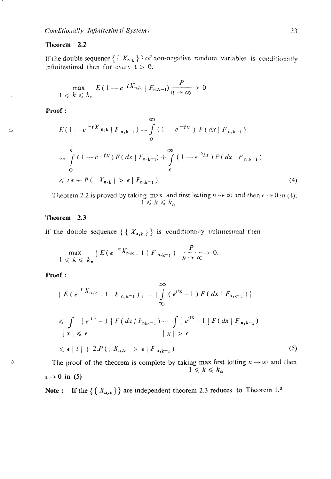#### Theorem 2.2

If the double sequence  $\{ \{ X_{n,k} \} \}$  of non-negative random variables is conditionally infinitestimal then for every  $t > 0$ .

$$
\max_{1 \leq k \leq k_n} E\left(1 - e^{-tX_{n,k}} \mid F_{n,k-1}\right) \xrightarrow[n \to \infty]{P} 0
$$

Proof:

Ó

 $\Diamond$ 

$$
E(1 - e^{-tX_{n,k}} | F_{n,k-1}) = \int_{0}^{\infty} (1 - e^{-tx}) F(dx | F_{n,k-1})
$$
  
\n
$$
= \int_{0}^{\epsilon} (1 - e^{-tx}) F(dx | F_{n,k-1}) + \int_{\epsilon}^{\infty} (1 - e^{-2tx}) F(dx | F_{n,k-1})
$$
  
\n
$$
\leq t \epsilon + P(|X_{n,k}| > \epsilon | F_{n,k-1})
$$
\n(4)

Theorem 2.2 is proved by taking max and first letting  $n \to \infty$  and then  $\epsilon \to 0$  in (4).<br> $1 \le k \le k_n$ 

# Theorem 2.3

If the double sequence  $\{ \{ X_{n,k} \} \}$  is conditionally infinitesimal then

$$
\max_{1 \leq k \leq k_n} |E(e^{-itX_{n,k}}-1 \mid F_{n,k-1})| \xrightarrow[n \to \infty]{P} 0.
$$

Proof:

$$
|E(e^{iY_{n,k}}-1|F_{n,k-1})| = \left|\int_{-\infty}^{\infty} (e^{iX}-1) F(dx | F_{n,k-1})\right|
$$
  
\n
$$
\leq \int_{|X|} |e^{iX}-1| F(dx | F_{n,k-1}) + \int_{|X|} |e^{iX}-1| F(dx | F_{n,k-1})
$$
  
\n
$$
|x| \leq \epsilon \qquad |x| > \epsilon
$$
  
\n
$$
\leq \epsilon |t| + 2.P(|X_{n,k}| > \epsilon | F_{n,k-1})
$$
\n(5)

The proof of the theorem is complete by taking max first letting  $n \to \infty$  and then  $1 \leqslant k \leqslant k_{\rm n}$  $\epsilon \rightarrow 0$  in (5)

Note: If the  $\{ \{ X_{n,k} \} \}$  are independent theorem 2.3 reduces to Theorem 1.<sup>2</sup>